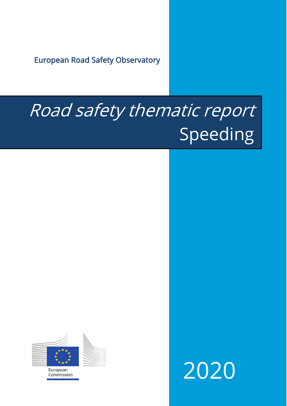European Road Safety Observatory

# Road safety thematic report **Speeding**



European Commission 2020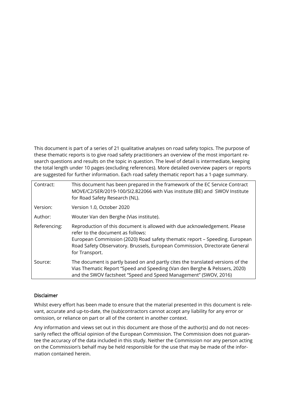This document is part of a series of 21 qualitative analyses on road safety topics. The purpose of these thematic reports is to give road safety practitioners an overview of the most important research questions and results on the topic in question. The level of detail is intermediate, keeping the total length under 10 pages (excluding references). More detailed overview papers or reports are suggested for further information. Each road safety thematic report has a 1-page summary.

| Contract:    | This document has been prepared in the framework of the EC Service Contract<br>MOVE/C2/SER/2019-100/SI2.822066 with Vias institute (BE) and SWOV Institute<br>for Road Safety Research (NL).                                                                                                   |
|--------------|------------------------------------------------------------------------------------------------------------------------------------------------------------------------------------------------------------------------------------------------------------------------------------------------|
| Version:     | Version 1.0, October 2020                                                                                                                                                                                                                                                                      |
| Author:      | Wouter Van den Berghe (Vias institute).                                                                                                                                                                                                                                                        |
| Referencing: | Reproduction of this document is allowed with due acknowledgement. Please<br>refer to the document as follows:<br>European Commission (2020) Road safety thematic report - Speeding. European<br>Road Safety Observatory. Brussels, European Commission, Directorate General<br>for Transport. |
| Source:      | The document is partly based on and partly cites the translated versions of the<br>Vias Thematic Report "Speed and Speeding (Van den Berghe & Pelssers, 2020)<br>and the SWOV factsheet "Speed and Speed Management" (SWOV, 2016)                                                              |

#### Disclaimer

Whilst every effort has been made to ensure that the material presented in this document is relevant, accurate and up-to-date, the (sub)contractors cannot accept any liability for any error or omission, or reliance on part or all of the content in another context.

Any information and views set out in this document are those of the author(s) and do not necessarily reflect the official opinion of the European Commission. The Commission does not guarantee the accuracy of the data included in this study. Neither the Commission nor any person acting on the Commission's behalf may be held responsible for the use that may be made of the information contained herein.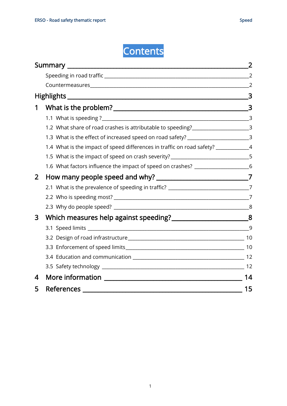

|   | $\sim$ 3                                                                            |                |  |
|---|-------------------------------------------------------------------------------------|----------------|--|
| 1 |                                                                                     |                |  |
|   |                                                                                     |                |  |
|   | 1.2 What share of road crashes is attributable to speeding? ____________________3   |                |  |
|   | 1.3 What is the effect of increased speed on road safety? ______________________3   |                |  |
|   | 1.4 What is the impact of speed differences in traffic on road safety? ___________4 |                |  |
|   | 1.5 What is the impact of speed on crash severity? _____________________________5   |                |  |
|   | 1.6 What factors influence the impact of speed on crashes? _____________________6   |                |  |
| 2 |                                                                                     |                |  |
|   | 2.1 What is the prevalence of speeding in traffic? ______________________________7  |                |  |
|   |                                                                                     | $\overline{7}$ |  |
|   |                                                                                     |                |  |
| 3 | Which measures help against speeding? ______________________________8               |                |  |
|   |                                                                                     | 9              |  |
|   |                                                                                     |                |  |
|   |                                                                                     |                |  |
|   |                                                                                     |                |  |
|   |                                                                                     |                |  |
| 4 |                                                                                     | 14             |  |
| 5 |                                                                                     | 15             |  |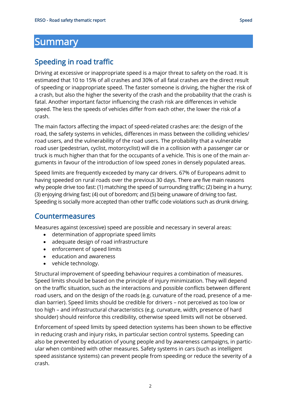## <span id="page-3-0"></span>**Summary**

### <span id="page-3-1"></span>Speeding in road traffic

Driving at excessive or inappropriate speed is a major threat to safety on the road. It is estimated that 10 to 15% of all crashes and 30% of all fatal crashes are the direct result of speeding or inappropriate speed. The faster someone is driving, the higher the risk of a crash, but also the higher the severity of the crash and the probability that the crash is fatal. Another important factor influencing the crash risk are differences in vehicle speed. The less the speeds of vehicles differ from each other, the lower the risk of a crash.

The main factors affecting the impact of speed-related crashes are: the design of the road, the safety systems in vehicles, differences in mass between the colliding vehicles/ road users, and the vulnerability of the road users. The probability that a vulnerable road user (pedestrian, cyclist, motorcyclist) will die in a collision with a passenger car or truck is much higher than that for the occupants of a vehicle. This is one of the main arguments in favour of the introduction of low speed zones in densely populated areas.

Speed limits are frequently exceeded by many car drivers. 67% of Europeans admit to having speeded on rural roads over the previous 30 days. There are five main reasons why people drive too fast: (1) matching the speed of surrounding traffic; (2) being in a hurry; (3) enjoying driving fast; (4) out of boredom; and (5) being unaware of driving too fast. Speeding is socially more accepted than other traffic code violations such as drunk driving.

#### <span id="page-3-2"></span>Countermeasures

Measures against (excessive) speed are possible and necessary in several areas:

- determination of appropriate speed limits
- adequate design of road infrastructure
- enforcement of speed limits
- education and awareness
- vehicle technology.

Structural improvement of speeding behaviour requires a combination of measures. Speed limits should be based on the principle of injury minimization. They will depend on the traffic situation, such as the interactions and possible conflicts between different road users, and on the design of the roads (e.g. curvature of the road, presence of a median barrier). Speed limits should be credible for drivers – not perceived as too low or too high – and infrastructural characteristics (e.g. curvature, width, presence of hard shoulder) should reinforce this credibility, otherwise speed limits will not be observed.

Enforcement of speed limits by speed detection systems has been shown to be effective in reducing crash and injury risks, in particular section control systems. Speeding can also be prevented by education of young people and by awareness campaigns, in particular when combined with other measures. Safety systems in cars (such as intelligent speed assistance systems) can prevent people from speeding or reduce the severity of a crash.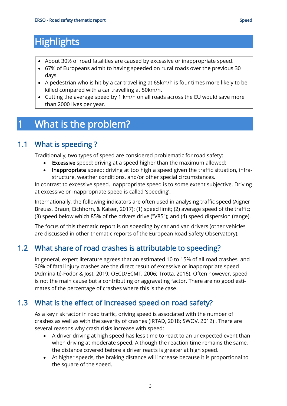- <span id="page-4-0"></span>• About 30% of road fatalities are caused by excessive or inappropriate speed.
- 67% of Europeans admit to having speeded on rural roads over the previous 30 days.
- A pedestrian who is hit by a car travelling at 65km/h is four times more likely to be killed compared with a car travelling at 50km/h.
- Cutting the average speed by 1 km/h on all roads across the EU would save more than 2000 lives per year.

# <span id="page-4-1"></span>1 What is the problem?

#### 1.1 What is speeding ?

<span id="page-4-2"></span>Traditionally, two types of speed are considered problematic for road safety:

- Excessive speed: driving at a speed higher than the maximum allowed;
- Inappropriate speed: driving at too high a speed given the traffic situation, infrastructure, weather conditions, and/or other special circumstances.

In contrast to excessive speed, inappropriate speed is to some extent subjective. Driving at excessive or inappropriate speed is called 'speeding'.

Internationally, the following indicators are often used in analysing traffic speed (Aigner Breuss, Braun, Eichhorn, & Kaiser, 2017): (1) speed limit; (2) average speed of the traffic; (3) speed below which 85% of the drivers drive ("V85"); and (4) speed dispersion (range).

The focus of this thematic report is on speeding by car and van drivers (other vehicles are discussed in other thematic reports of the European Road Safety Observatory).

#### <span id="page-4-3"></span>1.2 What share of road crashes is attributable to speeding?

In general, expert literature agrees that an estimated 10 to 15% of all road crashes and 30% of fatal injury crashes are the direct result of excessive or inappropriate speed (Adminaité-Fodor & Jost, 2019; OECD/ECMT, 2006; Trotta, 2016). Often however, speed is not the main cause but a contributing or aggravating factor. There are no good estimates of the percentage of crashes where this is the case.

#### <span id="page-4-4"></span>1.3 What is the effect of increased speed on road safety?

As a key risk factor in road traffic, driving speed is associated with the number of crashes as well as with the severity of crashes (IRTAD, 2018; SWOV, 2012) . There are several reasons why crash risks increase with speed:

- A driver driving at high speed has less time to react to an unexpected event than when driving at moderate speed. Although the reaction time remains the same, the distance covered before a driver reacts is greater at high speed.
- At higher speeds, the braking distance will increase because it is proportional to the square of the speed.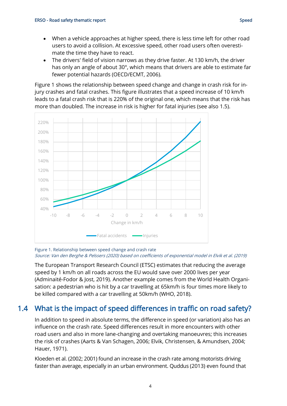- When a vehicle approaches at higher speed, there is less time left for other road users to avoid a collision. At excessive speed, other road users often overestimate the time they have to react.
- The drivers' field of vision narrows as they drive faster. At 130 km/h, the driver has only an angle of about 30°, which means that drivers are able to estimate far fewer potential hazards (OECD/ECMT, 2006).

[Figure 1](#page-5-1) shows the relationship between speed change and change in crash risk for injury crashes and fatal crashes. This figure illustrates that a speed increase of 10 km/h leads to a fatal crash risk that is 220% of the original one, which means that the risk has more than doubled. The increase in risk is higher for fatal injuries (see also [1.5\)](#page-6-0).



#### <span id="page-5-1"></span>Figure 1. Relationship between speed change and crash rate Source: Van den Berghe & Pelssers (2020) based on coefficients of exponential model in Elvik et al. (2019)

The European Transport Research Council (ETSC) estimates that reducing the average speed by 1 km/h on all roads across the EU would save over 2000 lives per year (Adminaité-Fodor & Jost, 2019). Another example comes from the World Health Organisation: a pedestrian who is hit by a car travelling at 65km/h is four times more likely to be killed compared with a car travelling at 50km/h (WHO, 2018).

#### <span id="page-5-0"></span>1.4 What is the impact of speed differences in traffic on road safety?

In addition to speed in absolute terms, the difference in speed (or variation) also has an influence on the crash rate. Speed differences result in more encounters with other road users and also in more lane-changing and overtaking manoeuvres; this increases the risk of crashes (Aarts & Van Schagen, 2006; Elvik, Christensen, & Amundsen, 2004; Hauer, 1971).

Kloeden et al. (2002; 2001) found an increase in the crash rate among motorists driving faster than average, especially in an urban environment. Quddus (2013) even found that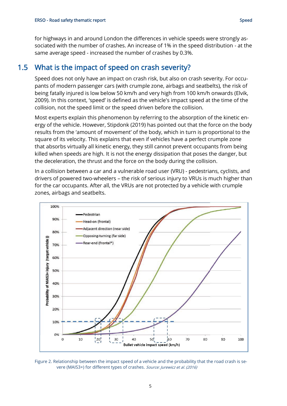for highways in and around London the differences in vehicle speeds were strongly associated with the number of crashes. An increase of 1% in the speed distribution - at the same average speed - increased the number of crashes by 0.3%.

#### <span id="page-6-0"></span>1.5 What is the impact of speed on crash severity?

Speed does not only have an impact on crash risk, but also on crash severity. For occupants of modern passenger cars (with crumple zone, airbags and seatbelts), the risk of being fatally injured is low below 50 km/h and very high from 100 km/h onwards (Elvik, 2009). In this context, 'speed' is defined as the vehicle's impact speed at the time of the collision, not the speed limit or the speed driven before the collision.

Most experts explain this phenomenon by referring to the absorption of the kinetic energy of the vehicle. However, Stipdonk (2019) has pointed out that the force on the body results from the 'amount of movement' of the body, which in turn is proportional to the square of its velocity. This explains that even if vehicles have a perfect crumple zone that absorbs virtually all kinetic energy, they still cannot prevent occupants from being killed when speeds are high. It is not the energy dissipation that poses the danger, but the deceleration, the thrust and the force on the body during the collision.

In a collision between a car and a vulnerable road user (VRU) - pedestrians, cyclists, and drivers of powered two-wheelers – the risk of serious injury to VRUs is much higher than for the car occupants. After all, the VRUs are not protected by a vehicle with crumple zones, airbags and seatbelts.



<span id="page-6-1"></span>Figure 2. Relationship between the impact speed of a vehicle and the probability that the road crash is severe (MAIS3+) for different types of crashes. Source: Jurewicz et al. (2016)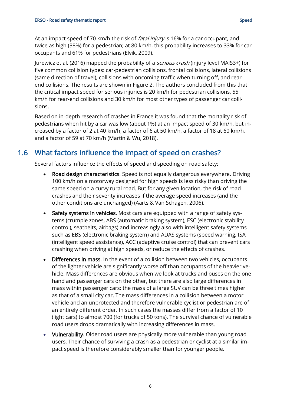At an impact speed of 70 km/h the risk of *fatal injury* is 16% for a car occupant, and twice as high (38%) for a pedestrian; at 80 km/h, this probability increases to 33% for car occupants and 61% for pedestrians (Elvik, 2009).

Jurewicz et al. (2016) mapped the probability of a serious crash (injury level MAIS3+) for five common collision types: car-pedestrian collisions, frontal collisions, lateral collisions (same direction of travel), collisions with oncoming traffic when turning off, and rearend collisions. The results are shown in [Figure 2.](#page-6-1) The authors concluded from this that the critical impact speed for serious injuries is 20 km/h for pedestrian collisions, 55 km/h for rear-end collisions and 30 km/h for most other types of passenger car collisions.

Based on in-depth research of crashes in France it was found that the mortality risk of pedestrians when hit by a car was low (about 1%) at an impact speed of 30 km/h, but increased by a factor of 2 at 40 km/h, a factor of 6 at 50 km/h, a factor of 18 at 60 km/h, and a factor of 59 at 70 km/h (Martin & Wu, 2018).

#### <span id="page-7-0"></span>1.6 What factors influence the impact of speed on crashes?

Several factors influence the effects of speed and speeding on road safety:

- Road design characteristics. Speed is not equally dangerous everywhere. Driving 100 km/h on a motorway designed for high speeds is less risky than driving the same speed on a curvy rural road. But for any given location, the risk of road crashes and their severity increases if the average speed increases (and the other conditions are unchanged) (Aarts & Van Schagen, 2006).
- Safety systems in vehicles. Most cars are equipped with a range of safety systems (crumple zones, ABS (automatic braking system), ESC (electronic stability control), seatbelts, airbags) and increasingly also with intelligent safety systems such as EBS (electronic braking system) and ADAS systems (speed warning, ISA (intelligent speed assistance), ACC (adaptive cruise control) that can prevent cars crashing when driving at high speeds, or reduce the effects of crashes.
- Differences in mass. In the event of a collision between two vehicles, occupants of the lighter vehicle are significantly worse off than occupants of the heavier vehicle. Mass differences are obvious when we look at trucks and buses on the one hand and passenger cars on the other, but there are also large differences in mass within passenger cars: the mass of a large SUV can be three times higher as that of a small city car. The mass differences in a collision between a motor vehicle and an unprotected and therefore vulnerable cyclist or pedestrian are of an entirely different order. In such cases the masses differ from a factor of 10 (light cars) to almost 700 (for trucks of 50 tons). The survival chance of vulnerable road users drops dramatically with increasing differences in mass.
- Vulnerability. Older road users are physically more vulnerable than young road users. Their chance of surviving a crash as a pedestrian or cyclist at a similar impact speed is therefore considerably smaller than for younger people.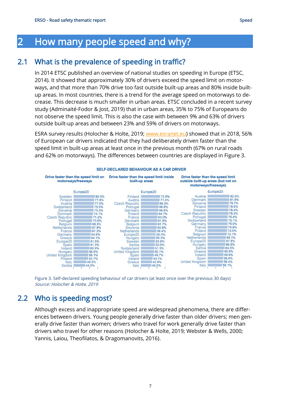# <span id="page-8-0"></span>2 How many people speed and why?

## 2.1 What is the prevalence of speeding in traffic?

<span id="page-8-1"></span>In 2014 ETSC published an overview of national studies on speeding in Europe (ETSC, 2014). It showed that approximately 30% of drivers exceed the speed limit on motorways, and that more than 70% drive too fast outside built-up areas and 80% inside builtup areas. In most countries, there is a trend for the average speed on motorways to decrease. This decrease is much smaller in urban areas. ETSC concluded in a recent survey study (Adminaité-Fodor & Jost, 2019) that in urban areas, 35% to 75% of Europeans do not observe the speed limit. This is also the case with between 9% and 63% of drivers outside built-up areas and between 23% and 59% of drivers on motorways.

ESRA survey results (Holocher & Holte, 2019; [www.esranet.eu\)](http://www.esranet.eu/) showed that in 2018, 56% of European car drivers indicated that they had deliberately driven faster than the speed limit in built-up areas at least once in the previous month (67% on rural roads and 62% on motorways). The differences between countries are displayed in [Figure 3.](#page-8-3)



<span id="page-8-3"></span><span id="page-8-2"></span>Figure 3. Self-declared speeding behaviour of car drivers (at least once over the previous 30 days) Source: Holocher & Holte, 2019

#### 2.2 Who is speeding most?

Although excess and inappropriate speed are widespread phenomena, there are differences between drivers. Young people generally drive faster than older drivers; men generally drive faster than women; drivers who travel for work generally drive faster than drivers who travel for other reasons (Holocher & Holte, 2019; Webster & Wells, 2000; Yannis, Laiou, Theofilatos, & Dragomanovits, 2016).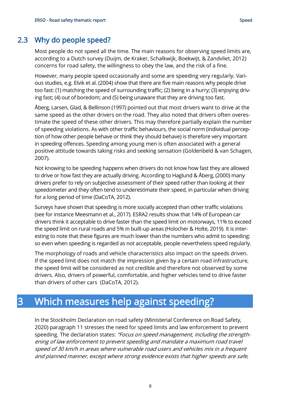<span id="page-9-0"></span>Most people do not speed all the time. The main reasons for observing speed limits are, according to a Dutch survey (Duijm, de Kraker, Schalkwijk, Boekwijt, & Zandvliet, 2012) concerns for road safety, the willingness to obey the law, and the risk of a fine.

However, many people speed occasionally and some are speeding very regularly. Various studies, e.g. Elvik et al. (2004) show that there are five main reasons why people drive too fast: (1) matching the speed of surrounding traffic; (2) being in a hurry; (3) enjoying driving fast; (4) out of boredom; and (5) being unaware that they are driving too fast.

Åberg, Larsen, Glad, & Bellinson (1997) pointed out that most drivers want to drive at the same speed as the other drivers on the road. They also noted that drivers often overestimate the speed of these other drivers. This may therefore partially explain the number of speeding violations. As with other traffic behaviours, the social norm (individual perception of how other people behave or think they should behave) is therefore very important in speeding offences. Speeding among young men is often associated with a general positive attitude towards taking risks and seeking sensation (Goldenbeld & van Schagen, 2007).

Not knowing to be speeding happens when drivers do not know how fast they are allowed to drive or how fast they are actually driving. According to Haglund & Åberg, (2000) many drivers prefer to rely on subjective assessment of their speed rather than looking at their speedometer and they often tend to underestimate their speed, in particular when driving for a long period of time (DaCoTA, 2012).

Surveys have shown that speeding is more socially accepted than other traffic violations (see for instance Meesmann et al., 2017). ESRA2 results show that 14% of European car drivers think it acceptable to drive faster than the speed limit on motorways, 11% to exceed the speed limit on rural roads and 5% in built-up areas (Holocher & Holte, 2019). It is interesting to note that these figures are much lower than the numbers who admit to speeding: so even when speeding is regarded as not acceptable, people nevertheless speed regularly.

The morphology of roads and vehicle characteristics also impact on the speeds driven. If the speed limit does not match the impression given by a certain road infrastructure, the speed limit will be considered as not credible and therefore not observed by some drivers. Also, drivers of powerful, comfortable, and higher vehicles tend to drive faster than drivers of other cars (DaCoTA, 2012).

# <span id="page-9-1"></span>3 Which measures help against speeding?

In the Stockholm Declaration on road safety (Ministerial Conference on Road Safety, 2020) paragraph 11 stresses the need for speed limits and law enforcement to prevent speeding. The declaration states: "Focus on speed management, including the strengthening of law enforcement to prevent speeding and mandate a maximum road travel speed of 30 km/h in areas where vulnerable road users and vehicles mix in a frequent and planned manner, except where strong evidence exists that higher speeds are safe,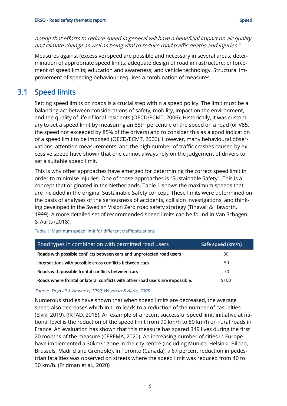noting that efforts to reduce speed in general will have a beneficial impact on air quality and climate change as well as being vital to reduce road traffic deaths and injuries;"

Measures against (excessive) speed are possible and necessary in several areas: determination of appropriate speed limits; adequate design of road infrastructure; enforcement of speed limits; education and awareness; and vehicle technology. Structural improvement of speeding behaviour requires a combination of measures.

#### <span id="page-10-0"></span>3.1 Speed limits

Setting speed limits on roads is a crucial step within a speed policy. The limit must be a balancing act between considerations of safety, mobility, impact on the environment, and the quality of life of local residents (OECD/ECMT, 2006). Historically, it was customary to set a speed limit by measuring an 85th percentile of the speed on a road (or V85, the speed not exceeded by 85% of the drivers) and to consider this as a good indication of a speed limit to be imposed (OECD/ECMT, 2006). However, many behavioural observations, attention measurements, and the high number of traffic crashes caused by excessive speed have shown that one cannot always rely on the judgement of drivers to set a suitable speed limit.

This is why other approaches have emerged for determining the correct speed limit in order to minimise injuries. One of those approaches is "Sustainable Safety". This is a concept that originated in the Netherlands. [Table 1](#page-10-1) shows the maximum speeds that are included in the original Sustainable Safety concept. These limits were determined on the basis of analyses of the seriousness of accidents, collision investigations, and thinking developed in the Swedish Vision Zero road safety strategy (Tingvall & Haworth, 1999). A more detailed set of recommended speed limits can be found in Van Schagen & Aarts (2018).

| Road types in combination with permitted road users                            | Safe speed (km/h) |
|--------------------------------------------------------------------------------|-------------------|
| Roads with possible conflicts between cars and unprotected road users          | 30                |
| Intersections with possible cross conflicts between cars                       | 50                |
| Roads with possible frontal conflicts between cars                             | 70                |
| Roads where frontal or lateral conflicts with other road users are impossible. | $\geq 100$        |

<span id="page-10-1"></span>Table 1. Maximum speed limit for different traffic situations

Source: Tingvall & Haworth, 1999; Wegman & Aarts, 2005.

Numerous studies have shown that when speed limits are decreased, the average speed also decreases which in turn leads to a reduction of the number of casualties (Elvik, 2019), (IRTAD, 2018). An example of a recent successful speed limit initiative at national level is the reduction of the speed limit from 90 km/h to 80 km/h on rural roads in France. An evaluation has shown that this measure has spared 349 lives during the first 20 months of the measure (CEREMA, 2020). An increasing number of cities in Europe have implemented a 30km/h zone in the city centre (including Munich, Helsinki, Bilbao, Brussels, Madrid and Grenoble). In Toronto (Canada), a 67 percent reduction in pedestrian fatalities was observed on streets where the speed limit was reduced from 40 to 30 km/h. (Fridman et al., 2020)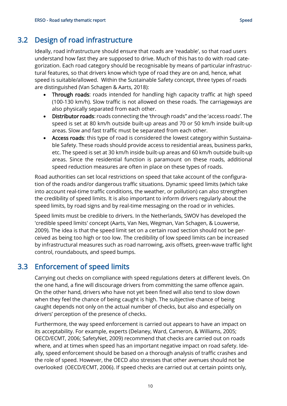<span id="page-11-0"></span>Ideally, road infrastructure should ensure that roads are 'readable', so that road users understand how fast they are supposed to drive. Much of this has to do with road categorization. Each road category should be recognisable by means of particular infrastructural features, so that drivers know which type of road they are on and, hence, what speed is suitable/allowed. Within the Sustainable Safety concept, three types of roads are distinguished (Van Schagen & Aarts, 2018):

- Through roads: roads intended for handling high capacity traffic at high speed (100-130 km/h). Slow traffic is not allowed on these roads. The carriageways are also physically separated from each other.
- Distributor roads: roads connecting the 'through roads" and the 'access roads'. The speed is set at 80 km/h outside built-up areas and 70 or 50 km/h inside built-up areas. Slow and fast traffic must be separated from each other.
- Access roads: this type of road is considered the lowest category within Sustainable Safety. These roads should provide access to residential areas, business parks, etc. The speed is set at 30 km/h inside built-up areas and 60 km/h outside built-up areas. Since the residential function is paramount on these roads, additional speed reduction measures are often in place on these types of roads.

Road authorities can set local restrictions on speed that take account of the configuration of the roads and/or dangerous traffic situations. Dynamic speed limits (which take into account real-time traffic conditions, the weather, or pollution) can also strengthen the credibility of speed limits. It is also important to inform drivers regularly about the speed limits, by road signs and by real-time messaging on the road or in vehicles.

Speed limits must be credible to drivers. In the Netherlands, SWOV has developed the 'credible speed limits' concept (Aarts, Van Nes, Wegman, Van Schagen, & Louwerse, 2009). The idea is that the speed limit set on a certain road section should not be perceived as being too high or too low. The credibility of low speed limits can be increased by infrastructural measures such as road narrowing, axis offsets, green-wave traffic light control, roundabouts, and speed bumps.

#### 3.3 Enforcement of speed limits

<span id="page-11-1"></span>Carrying out checks on compliance with speed regulations deters at different levels. On the one hand, a fine will discourage drivers from committing the same offence again. On the other hand, drivers who have not yet been fined will also tend to slow down when they feel the chance of being caught is high. The subjective chance of being caught depends not only on the actual number of checks, but also and especially on drivers' perception of the presence of checks.

Furthermore, the way speed enforcement is carried out appears to have an impact on its acceptability. For example, experts (Delaney, Ward, Cameron, & Williams, 2005; OECD/ECMT, 2006; SafetyNet, 2009) recommend that checks are carried out on roads where, and at times when speed has an important negative impact on road safety. Ideally, speed enforcement should be based on a thorough analysis of traffic crashes and the role of speed. However, the OECD also stresses that other avenues should not be overlooked (OECD/ECMT, 2006). If speed checks are carried out at certain points only,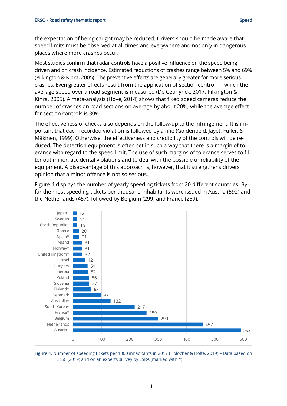the expectation of being caught may be reduced. Drivers should be made aware that speed limits must be observed at all times and everywhere and not only in dangerous places where more crashes occur.

Most studies confirm that radar controls have a positive influence on the speed being driven and on crash incidence. Estimated reductions of crashes range between 5% and 69% (Pilkington & Kinra, 2005). The preventive effects are generally greater for more serious crashes. Even greater effects result from the application of section control, in which the average speed over a road segment is measured (De Ceunynck, 2017; Pilkington & Kinra, 2005). A meta-analysis (Høye, 2014) shows that fixed speed cameras reduce the number of crashes on road sections on average by about 20%, while the average effect for section controls is 30%.

The effectiveness of checks also depends on the follow-up to the infringement. It is important that each recorded violation is followed by a fine (Goldenbeld, Jayet, Fuller, & Mäkinen, 1999). Otherwise, the effectiveness and credibility of the controls will be reduced. The detection equipment is often set in such a way that there is a margin of tolerance with regard to the speed limit. The use of such margins of tolerance serves to filter out minor, accidental violations and to deal with the possible unreliability of the equipment. A disadvantage of this approach is, however, that it strengthens drivers' opinion that a minor offence is not so serious.

[Figure 4](#page-12-0) displays the number of yearly speeding tickets from 20 different countries. By far the most speeding tickets per thousand inhabitants were issued in Austria (592) and the Netherlands (457), followed by Belgium (299) and France (259).



<span id="page-12-0"></span>Figure 4. Number of speeding tickets per 1000 inhabitants in 2017 (Holocher & Holte, 2019) – Data based on ETSC (2019) and on an experts survey by ESRA (marked with \*)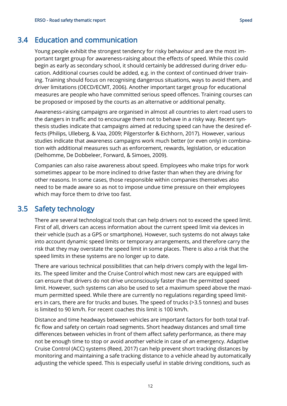#### 3.4 Education and communication

<span id="page-13-0"></span>Young people exhibit the strongest tendency for risky behaviour and are the most important target group for awareness-raising about the effects of speed. While this could begin as early as secondary school, it should certainly be addressed during driver education. Additional courses could be added, e.g. in the context of continued driver training. Training should focus on recognising dangerous situations, ways to avoid them, and driver limitations (OECD/ECMT, 2006). Another important target group for educational measures are people who have committed serious speed offences. Training courses can be proposed or imposed by the courts as an alternative or additional penalty.

Awareness-raising campaigns are organised in almost all countries to alert road users to the dangers in traffic and to encourage them not to behave in a risky way. Recent synthesis studies indicate that campaigns aimed at reducing speed can have the desired effects (Philips, Ulleberg, & Vaa, 2009; Pilgerstorfer & Eichhorn, 2017). However, various studies indicate that awareness campaigns work much better (or even only) in combination with additional measures such as enforcement, rewards, legislation, or education (Delhomme, De Dobbeleer, Forward, & Simoes, 2009).

Companies can also raise awareness about speed. Employees who make trips for work sometimes appear to be more inclined to drive faster than when they are driving for other reasons. In some cases, those responsible within companies themselves also need to be made aware so as not to impose undue time pressure on their employees which may force them to drive too fast.

#### 3.5 Safety technology

<span id="page-13-1"></span>There are several technological tools that can help drivers not to exceed the speed limit. First of all, drivers can access information about the current speed limit via devices in their vehicle (such as a GPS or smartphone). However, such systems do not always take into account dynamic speed limits or temporary arrangements, and therefore carry the risk that they may overstate the speed limit in some places. There is also a risk that the speed limits in these systems are no longer up to date.

There are various technical possibilities that can help drivers comply with the legal limits. The speed limiter and the Cruise Control which most new cars are equipped with can ensure that drivers do not drive unconsciously faster than the permitted speed limit. However, such systems can also be used to set a maximum speed above the maximum permitted speed. While there are currently no regulations regarding speed limiters in cars, there are for trucks and buses. The speed of trucks (>3.5 tonnes) and buses is limited to 90 km/h. For recent coaches this limit is 100 km/h.

Distance and time headways between vehicles are important factors for both total traffic flow and safety on certain road segments. Short headway distances and small time differences between vehicles in front of them affect safety performance, as there may not be enough time to stop or avoid another vehicle in case of an emergency. Adaptive Cruise Control (ACC) systems (Reed, 2017) can help prevent short tracking distances by monitoring and maintaining a safe tracking distance to a vehicle ahead by automatically adjusting the vehicle speed. This is especially useful in stable driving conditions, such as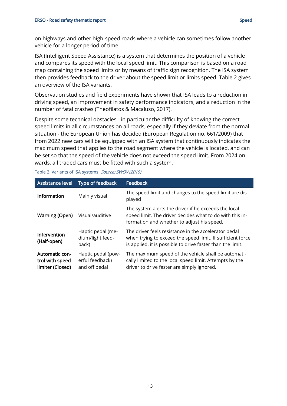on highways and other high-speed roads where a vehicle can sometimes follow another vehicle for a longer period of time.

ISA (Intelligent Speed Assistance) is a system that determines the position of a vehicle and compares its speed with the local speed limit. This comparison is based on a road map containing the speed limits or by means of traffic sign recognition. The ISA system then provides feedback to the driver about the speed limit or limits speed. Table 2 gives an overview of the ISA variants.

Observation studies and field experiments have shown that ISA leads to a reduction in driving speed, an improvement in safety performance indicators, and a reduction in the number of fatal crashes (Theofilatos & Macaluso, 2017).

Despite some technical obstacles - in particular the difficulty of knowing the correct speed limits in all circumstances on all roads, especially if they deviate from the normal situation - the European Union has decided (European Regulation no. 661/2009) that from 2022 new cars will be equipped with an ISA system that continuously indicates the maximum speed that applies to the road segment where the vehicle is located, and can be set so that the speed of the vehicle does not exceed the speed limit. From 2024 onwards, all traded cars must be fitted with such a system.

| Table 2. Variants of ISA systems. Source: SWOV (2015) |  |
|-------------------------------------------------------|--|
|-------------------------------------------------------|--|

<span id="page-14-0"></span>

| <b>Assistance level</b>                               | Type of feedback                                       | <b>Feedback</b>                                                                                                                                                                  |
|-------------------------------------------------------|--------------------------------------------------------|----------------------------------------------------------------------------------------------------------------------------------------------------------------------------------|
| Information                                           | Mainly visual                                          | The speed limit and changes to the speed limit are dis-<br>played                                                                                                                |
| <b>Warning (Open)</b>                                 | Visual/auditive                                        | The system alerts the driver if he exceeds the local<br>speed limit. The driver decides what to do with this in-<br>formation and whether to adjust his speed.                   |
| Intervention<br>(Half-open)                           | Haptic pedal (me-<br>dium/light feed-<br>back)         | The driver feels resistance in the accelerator pedal<br>when trying to exceed the speed limit. If sufficient force<br>is applied, it is possible to drive faster than the limit. |
| Automatic con-<br>trol with speed<br>limiter (Closed) | Haptic pedal (pow-<br>erful feedback)<br>and off pedal | The maximum speed of the vehicle shall be automati-<br>cally limited to the local speed limit. Attempts by the<br>driver to drive faster are simply ignored.                     |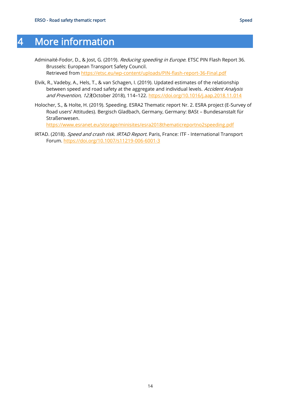# 4 More information

- Adminaité-Fodor, D., & Jost, G. (2019). Reducing speeding in Europe. ETSC PIN Flash Report 36. Brussels: European Transport Safety Council. Retrieved from<https://etsc.eu/wp-content/uploads/PIN-flash-report-36-Final.pdf>
- Elvik, R., Vadeby, A., Hels, T., & van Schagen, I. (2019). Updated estimates of the relationship between speed and road safety at the aggregate and individual levels. Accident Analysis and Prevention, 123(October 2018), 114–122.<https://doi.org/10.1016/j.aap.2018.11.014>
- Holocher, S., & Holte, H. (2019). Speeding. ESRA2 Thematic report Nr. 2. ESRA project (E-Survey of Road users' Attitudes). Bergisch Gladbach, Germany, Germany: BASt – Bundesanstalt für Straßenwesen.

<https://www.esranet.eu/storage/minisites/esra2018thematicreportno2speeding.pdf>

IRTAD. (2018). Speed and crash risk. IRTAD Report. Paris, France: ITF - International Transport Forum.<https://doi.org/10.1007/s11219-006-6001-3>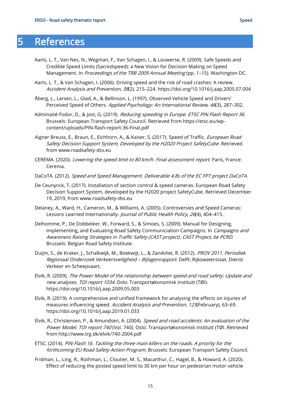- <span id="page-16-0"></span>Aarts, L. T., Van Nes, N., Wegman, F., Van Schagen, I., & Louwerse, R. (2009). Safe Speeds and Credible Speed Limits (Sacredspeed): a New Vision for Decision Making on Speed Management. In Proceedings of the TRB 2009 Annual Meeting (pp. 1-15). Washington DC.
- Aarts, L. T., & Van Schagen, I. (2006). Driving speed and the risk of road crashes: A review. Accident Analysis and Prevention, 38(2), 215–224. https://doi.org/10.1016/j.aap.2005.07.004
- Åberg, L., Larsen, L., Glad, A., & Bellinson, L. (1997). Observed Vehicle Speed and Drivers' Perceived Speed of Others. Applied Psychology: An International Review, 46(3), 287-302.
- Adminaité-Fodor, D., & Jost, G. (2019). Reducing speeding in Europe. ETSC PIN Flash Report 36. Brussels: European Transport Safety Council. Retrieved from https://etsc.eu/wpcontent/uploads/PIN-flash-report-36-Final.pdf
- Aigner Breuss, E., Braun, E., Eichhorn, A., & Kaiser, S. (2017). Speed of Traffic. European Road Safety Decision Support System, Developed by the H2020 Project SafetyCube. Retrieved from www.roadsafety-dss.eu
- CEREMA. (2020). Lowering the speed limit to 80 km/h. Final assessment report. Paris, France: Cerema.
- DaCoTA. (2012). Speed and Speed Management. Deliverable 4.8s of the EC FP7 project DaCoTA.
- De Ceunynck, T. (2017). Installation of section control & speed cameras. European Road Safety Decision Support System, developed by the H2020 project SafetyCube. Retrieved December 19, 2019, from www.roadsafety-dss.eu
- Delaney, A., Ward, H., Cameron, M., & Williams, A. (2005). Controversies and Speed Cameras: Lessons Learned Internationally. Journal of Public Health Policy, 26(4), 404-415.
- Delhomme, P., De Dobbeleer, W., Forward, S., & Simoes, S. (2009). Manual for Designing, Implementing, and Evaluating Road Safety Communiciation Campaigns. In Campaigns and Awareness Raising Strategies in Traffic Safety (CAST project). CAST Project, 6e PCRD. Brussels: Belgian Road Safety Institute.
- Duijm, S., de Kraker, J., Schalkwijk, M., Boekwijt, L., & Zandvliet, R. (2012). PROV 2011. Periodiek Regionaal Onderzoek Verkeersveiligheid - Bijlagenrapport. Delft: Rijkswaterstaat, Dienst Verkeer en Scheepvaart.
- Elvik, R. (2009). The Power Model of the relationship between speed and road safety: Update and new analyses. TOI report 1034. Oslo: Transportøkonomisk institutt (TØI). https://doi.org/10.1016/j.aap.2009.05.003
- Elvik, R. (2019). A comprehensive and unified framework for analysing the effects on injuries of measures influencing speed. Accident Analysis and Prevention, 125(February), 63-69. https://doi.org/10.1016/j.aap.2019.01.033
- Elvik, R., Christensen, P., & Amundsen, A. (2004). Speed and road accidents: An evaluation of the Power Model. TOI report 740 (Vol. 740). Oslo: Transportøkonomisk institutt (TØI. Retrieved from http://www.trg.dk/elvik/740-2004.pdf
- ETSC. (2014). PIN Flash 16. Tackling the three main killers on the roads. A priority for the forthcoming EU Road Safety Action Program. Brussels: European Transport Safety Council.
- Fridman, L., Ling, R., Rothman, L., Cloutier, M. S., Macarthur, C., Hagel, B., & Howard, A. (2020). Effect of reducing the posted speed limit to 30 km per hour on pedestrian motor vehicle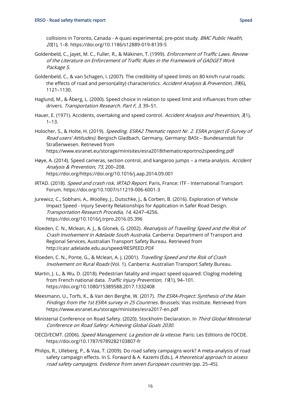collisions in Toronto, Canada - A quasi experimental, pre-post study. BMC Public Health, 20(1), 1–8. https://doi.org/10.1186/s12889-019-8139-5

- Goldenbeld, C., Jayet, M. C., Fuller, R., & Mäkinen, T. (1999). Enforcement of Traffic Laws. Review of the Literature on Enforcement of Traffic Rules in the Framework of GADGET Work Package 5.
- Goldenbeld, C., & van Schagen, I. (2007). The credibility of speed limits on 80 km/h rural roads: the effects of road and person(ality) characteristics. Accident Analysis & Prevention, 39(6), 1121–1130.
- Haglund, M., & Åberg, L. (2000). Speed choice in relation to speed limit and influences from other drivers. Transportation Research. Part F, 3, 39–51.
- Hauer, E. (1971). Accidents, overtaking and speed control. Accident Analysis and Prevention, 3(1), 1–13.
- Holocher, S., & Holte, H. (2019). Speeding. ESRA2 Thematic report Nr. 2. ESRA project (E-Survey of Road users' Attitudes). Bergisch Gladbach, Germany, Germany: BASt – Bundesanstalt für Straßenwesen. Retrieved from https://www.esranet.eu/storage/minisites/esra2018thematicreportno2speeding.pdf
- Høye, A. (2014). Speed cameras, section control, and kangaroo jumps a meta-analysis. Accident Analysis & Prevention, 73, 200–208. https://doi.org/https://doi.org/10.1016/j.aap.2014.09.001
- IRTAD. (2018). Speed and crash risk. IRTAD Report. Paris, France: ITF International Transport Forum. https://doi.org/10.1007/s11219-006-6001-3
- Jurewicz, C., Sobhani, A., Woolley, J., Dutschke, J., & Corben, B. (2016). Exploration of Vehicle Impact Speed - Injury Severity Relationships for Application in Safer Road Design. Transportation Research Procedia, 14, 4247–4256. https://doi.org/10.1016/j.trpro.2016.05.396
- Kloeden, C. N., Mclean, A. J., & Glonek, G. (2002). *Reanalysis of Travelling Speed and the Risk of* Crash Involvement in Adelaide South Australia. Canberra: Department of Transport and Regional Services, Australian Transport Safety Bureau. Retrieved from http://casr.adelaide.edu.au/speed/RESPEED.PDF
- Kloeden, C. N., Ponte, G., & Mclean, A. J. (2001). Travelling Speed and the Risk of Crash Involvement on Rural Roads (Vol. 1). Canberra: Australian Transport Safety Bureau.
- Martin, J. L., & Wu, D. (2018). Pedestrian fatality and impact speed squared: Cloglog modeling from French national data. Traffic Injury Prevention, 19(1), 94-101. https://doi.org/10.1080/15389588.2017.1332408
- Meesmann, U., Torfs, K., & Van den Berghe, W. (2017). The ESRA-Project: Synthesis of the Main Findings from the 1st ESRA survey in 25 Countries. Brussels: Vias institute. Retrieved from https://www.esranet.eu/storage/minisites/esra2017-en.pdf
- Ministerial Conference on Road Safety. (2020). Stockholm Declaration. In Third Global Ministerial Conference on Road Safety: Achieving Global Goals 2030.
- OECD/ECMT. (2006). Speed Management. La gestion de la vitesse. Paris: Les Editions de l'OCDE. https://doi.org/10.1787/9789282103807-fr
- Philips, R., Ulleberg, P., & Vaa, T. (2009). Do road safety campaigns work? A meta-analysis of road safety campaign effects. In S. Forward & A. Kazemi (Eds.), A theoretical approach to assess road safety campaigns. Evidence from seven European countries (pp. 25–45).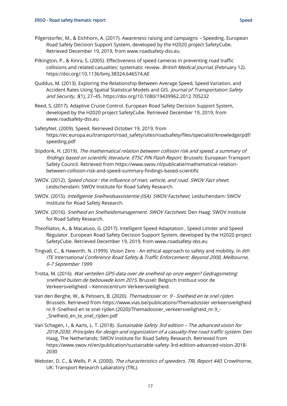- Pilgerstorfer, M., & Eichhorn, A. (2017). Awareness raising and campaigns Speeding. European Road Safety Decision Support System, developed by the H2020 project SafetyCube. Retrieved December 19, 2019, from www.roadsafety-dss.eu
- Pilkington, P., & Kinra, S. (2005). Effectiveness of speed cameras in preventing road traffic collisions and related casualties: systematic review. British Medical Journal, (February 12). https://doi.org/:10.1136/bmj.38324.646574.AE
- Quddus, M. (2013). Exploring the Relationship Between Average Speed, Speed Variation, and Accident Rates Using Spatial Statistical Models and GIS. Journal of Transportation Safety and Security, 5(1), 27–45. https://doi.org/10.1080/19439962.2012.705232
- Reed, S. (2017). Adaptive Cruise Control. European Road Safety Decision Support System, developed by the H2020 project SafetyCube. Retrieved December 19, 2019, from www.roadsafety-dss.eu
- SafetyNet. (2009). Speed. Retrieved October 19, 2019, from https://ec.europa.eu/transport/road\_safety/sites/roadsafety/files/specialist/knowledge/pdf/ speeding.pdf
- Stipdonk, H. (2019). The mathematical relation between collision risk and speed; a summary of findings based on scientific literature. ETSC PIN Flash Report. Brussels: European Transport Safety Council. Retrieved from https://www.swov.nl/publicatie/mathematical-relationbetween-collision-risk-and-speed-summary-findings-based-scientific
- SWOV. (2012). Speed choice : the influence of man, vehicle, and road. SWOV Fact sheet. Leidschendam: SWOV Institute for Road Safety Research.
- SWOV. (2015). Intelligente Snelheidsassistentie (ISA). SWOV Factsheet. Leidschendam: SWOV Institute for Road Safety Research.
- SWOV. (2016). Snelheid en Snelheidsmanagement. SWOV Factsheet. Den Haag: SWOV Institute for Road Safety Research.
- Theofilatos, A., & Macaluso, G. (2017). Intelligent Speed Adaptation , Speed Limiter and Speed Regulator. European Road Safety Decision Support System, developed by the H2020 project SafetyCube. Retrieved December 19, 2019, from www.roadsafety-dss.eu
- Tingvall, C., & Haworth, N. (1999). Vision Zero An ethical approach to safety and mobility. In 6th ITE International Conference Road Safety & Traffic Enforcement: Beyond 2000, Melbourne, 6-7 September 1999.
- Trotta, M. (2016). Wat vertellen GPS-data over de snelheid op onze wegen? Gedragsmeting snelheid buiten de bebouwde kom 2015. Brussel: Belgisch Instituut voor de Verkeersveiligheid – Kenniscentrum Verkeersveiligheid.
- Van den Berghe, W., & Pelssers, B. (2020). Themadossier nr. 9 Snelheid en te snel rijden. Brussels. Retrieved from https://www.vias.be/publications/Themadossier verkeersveiligheid nr.9 -Snelheid en te snel rijden (2020)/Themadossier\_verkeersveiligheid\_nr.9 -\_Snelheid\_en\_te\_snel\_rijden.pdf
- Van Schagen, I., & Aarts, L. T. (2018). Sustainable Safety 3rd edition The advanced vision for 2018-2030. Principles for design and organization of a casualty-free road traffic system. Den Haag, The Netherlands: SWOV Institute for Road Safety Research. Retrieved from https://www.swov.nl/en/publication/sustainable-safety-3rd-edition-advanced-vision-2018- 2030
- Webster, D. C., & Wells, P. A. (2000). The characteristics of speeders. TRL Report 440. Crowthorne, UK: Transport Research Labaratory (TRL).